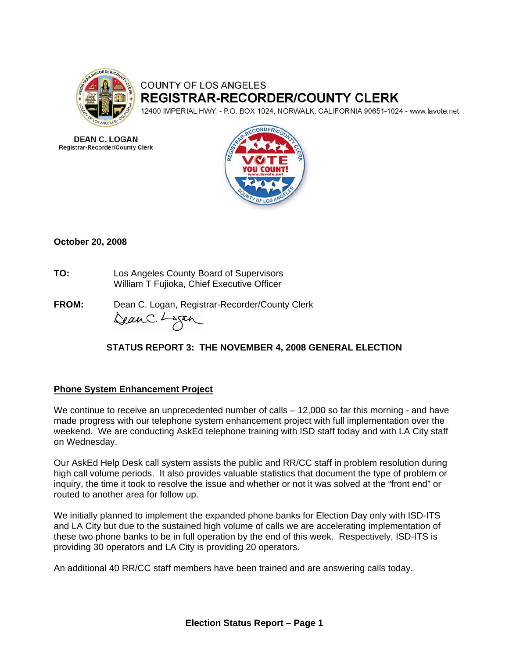

# **COUNTY OF LOS ANGELES REGISTRAR-RECORDER/COUNTY CLERK**

12400 IMPERIAL HWY. - P.O. BOX 1024, NORWALK, CALIFORNIA 90651-1024 - www.lavote.net

**DEAN C. LOGAN Registrar-Recorder/County Clerk** 



## **October 20, 2008**

- **TO:** Los Angeles County Board of Supervisors William T Fujioka, Chief Executive Officer
- **FROM:** Dean C. Logan, Registrar-Recorder/County Clerk DeanC. Logan

## **STATUS REPORT 3: THE NOVEMBER 4, 2008 GENERAL ELECTION**

#### **Phone System Enhancement Project**

We continue to receive an unprecedented number of calls - 12,000 so far this morning - and have made progress with our telephone system enhancement project with full implementation over the weekend. We are conducting AskEd telephone training with ISD staff today and with LA City staff on Wednesday.

Our AskEd Help Desk call system assists the public and RR/CC staff in problem resolution during high call volume periods. It also provides valuable statistics that document the type of problem or inquiry, the time it took to resolve the issue and whether or not it was solved at the "front end" or routed to another area for follow up.

We initially planned to implement the expanded phone banks for Election Day only with ISD-ITS and LA City but due to the sustained high volume of calls we are accelerating implementation of these two phone banks to be in full operation by the end of this week. Respectively, ISD-ITS is providing 30 operators and LA City is providing 20 operators.

An additional 40 RR/CC staff members have been trained and are answering calls today.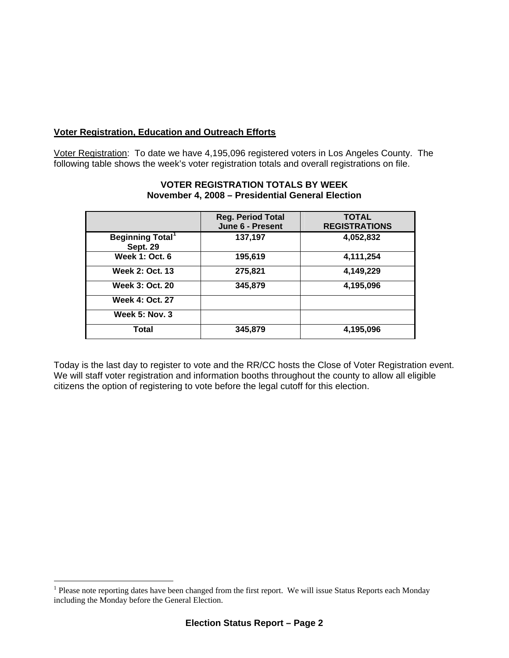## **Voter Registration, Education and Outreach Efforts**

Voter Registration: To date we have 4,195,096 registered voters in Los Angeles County.The following table shows the week's voter registration totals and overall registrations on file.

|                                                        | <b>Reg. Period Total</b><br>June 6 - Present | <b>TOTAL</b><br><b>REGISTRATIONS</b> |
|--------------------------------------------------------|----------------------------------------------|--------------------------------------|
| <b>Beginning Total</b> <sup>1</sup><br><b>Sept. 29</b> | 137,197                                      | 4,052,832                            |
| <b>Week 1: Oct. 6</b>                                  | 195,619                                      | 4,111,254                            |
| <b>Week 2: Oct. 13</b>                                 | 275,821                                      | 4,149,229                            |
| <b>Week 3: Oct. 20</b>                                 | 345,879                                      | 4,195,096                            |
| <b>Week 4: Oct. 27</b>                                 |                                              |                                      |
| <b>Week 5: Nov. 3</b>                                  |                                              |                                      |
| Total                                                  | 345,879                                      | 4,195,096                            |

#### **VOTER REGISTRATION TOTALS BY WEEK November 4, 2008 – Presidential General Election**

Today is the last day to register to vote and the RR/CC hosts the Close of Voter Registration event. We will staff voter registration and information booths throughout the county to allow all eligible citizens the option of registering to vote before the legal cutoff for this election.

 $\overline{a}$ 

<span id="page-1-0"></span><sup>&</sup>lt;sup>1</sup> Please note reporting dates have been changed from the first report. We will issue Status Reports each Monday including the Monday before the General Election.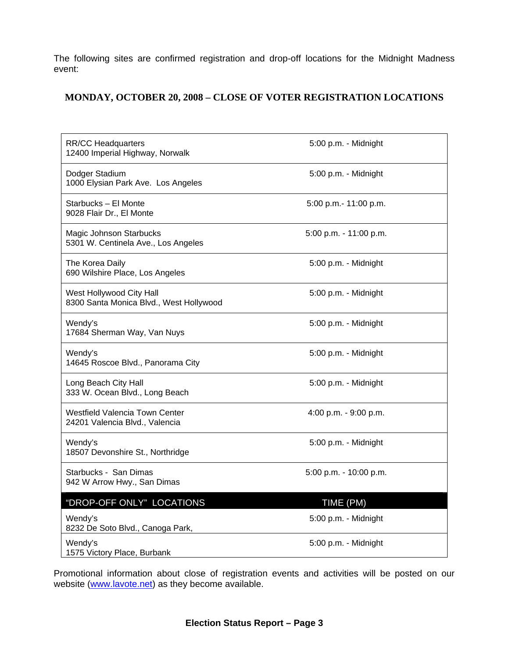The following sites are confirmed registration and drop-off locations for the Midnight Madness event:

## **MONDAY, OCTOBER 20, 2008 – CLOSE OF VOTER REGISTRATION LOCATIONS**

| <b>RR/CC Headquarters</b><br>12400 Imperial Highway, Norwalk            | 5:00 p.m. - Midnight   |
|-------------------------------------------------------------------------|------------------------|
| Dodger Stadium<br>1000 Elysian Park Ave. Los Angeles                    | 5:00 p.m. - Midnight   |
| Starbucks - El Monte<br>9028 Flair Dr., El Monte                        | 5:00 p.m.- 11:00 p.m.  |
| Magic Johnson Starbucks<br>5301 W. Centinela Ave., Los Angeles          | 5:00 p.m. - 11:00 p.m. |
| The Korea Daily<br>690 Wilshire Place, Los Angeles                      | 5:00 p.m. - Midnight   |
| West Hollywood City Hall<br>8300 Santa Monica Blvd., West Hollywood     | 5:00 p.m. - Midnight   |
| Wendy's<br>17684 Sherman Way, Van Nuys                                  | 5:00 p.m. - Midnight   |
| Wendy's<br>14645 Roscoe Blvd., Panorama City                            | 5:00 p.m. - Midnight   |
| Long Beach City Hall<br>333 W. Ocean Blvd., Long Beach                  | 5:00 p.m. - Midnight   |
| <b>Westfield Valencia Town Center</b><br>24201 Valencia Blvd., Valencia | 4:00 p.m. - 9:00 p.m.  |
| Wendy's<br>18507 Devonshire St., Northridge                             | 5:00 p.m. - Midnight   |
| Starbucks - San Dimas<br>942 W Arrow Hwy., San Dimas                    | 5:00 p.m. - 10:00 p.m. |
| "DROP-OFF ONLY" LOCATIONS                                               | TIME (PM)              |
| Wendy's<br>8232 De Soto Blvd., Canoga Park,                             | 5:00 p.m. - Midnight   |
| Wendy's<br>1575 Victory Place, Burbank                                  | 5:00 p.m. - Midnight   |

Promotional information about close of registration events and activities will be posted on our website ([www.lavote.net](http://www.lavote.net/)) as they become available.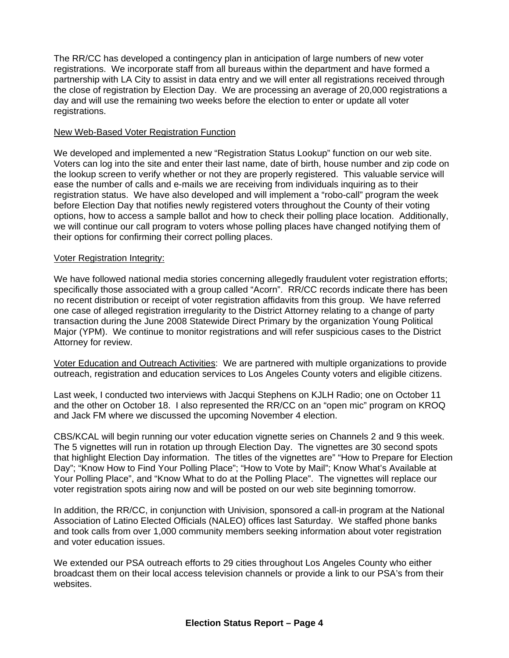The RR/CC has developed a contingency plan in anticipation of large numbers of new voter registrations. We incorporate staff from all bureaus within the department and have formed a partnership with LA City to assist in data entry and we will enter all registrations received through the close of registration by Election Day. We are processing an average of 20,000 registrations a day and will use the remaining two weeks before the election to enter or update all voter registrations.

#### New Web-Based Voter Registration Function

We developed and implemented a new "Registration Status Lookup" function on our web site. Voters can log into the site and enter their last name, date of birth, house number and zip code on the lookup screen to verify whether or not they are properly registered. This valuable service will ease the number of calls and e-mails we are receiving from individuals inquiring as to their registration status. We have also developed and will implement a "robo-call" program the week before Election Day that notifies newly registered voters throughout the County of their voting options, how to access a sample ballot and how to check their polling place location. Additionally, we will continue our call program to voters whose polling places have changed notifying them of their options for confirming their correct polling places.

#### Voter Registration Integrity:

We have followed national media stories concerning allegedly fraudulent voter registration efforts; specifically those associated with a group called "Acorn". RR/CC records indicate there has been no recent distribution or receipt of voter registration affidavits from this group. We have referred one case of alleged registration irregularity to the District Attorney relating to a change of party transaction during the June 2008 Statewide Direct Primary by the organization Young Political Major (YPM). We continue to monitor registrations and will refer suspicious cases to the District Attorney for review.

Voter Education and Outreach Activities: We are partnered with multiple organizations to provide outreach, registration and education services to Los Angeles County voters and eligible citizens.

Last week, I conducted two interviews with Jacqui Stephens on KJLH Radio; one on October 11 and the other on October 18. I also represented the RR/CC on an "open mic" program on KROQ and Jack FM where we discussed the upcoming November 4 election.

CBS/KCAL will begin running our voter education vignette series on Channels 2 and 9 this week. The 5 vignettes will run in rotation up through Election Day. The vignettes are 30 second spots that highlight Election Day information. The titles of the vignettes are" "How to Prepare for Election Day"; "Know How to Find Your Polling Place"; "How to Vote by Mail"; Know What's Available at Your Polling Place", and "Know What to do at the Polling Place". The vignettes will replace our voter registration spots airing now and will be posted on our web site beginning tomorrow.

In addition, the RR/CC, in conjunction with Univision, sponsored a call-in program at the National Association of Latino Elected Officials (NALEO) offices last Saturday. We staffed phone banks and took calls from over 1,000 community members seeking information about voter registration and voter education issues.

We extended our PSA outreach efforts to 29 cities throughout Los Angeles County who either broadcast them on their local access television channels or provide a link to our PSA's from their websites.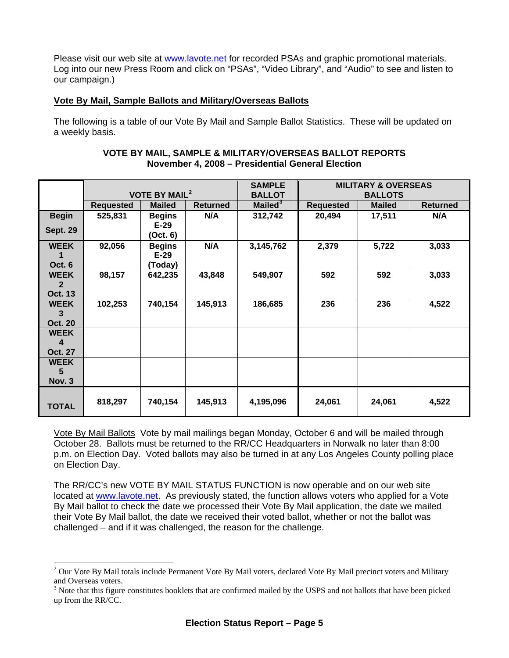Please visit our web site at [www.lavote.net](http://www.lavote.net/) for recorded PSAs and graphic promotional materials. Log into our new Press Room and click on "PSAs", "Video Library", and "Audio" to see and listen to our campaign.)

## **Vote By Mail, Sample Ballots and Military/Overseas Ballots**

The following is a table of our Vote By Mail and Sample Ballot Statistics. These will be updated on a weekly basis.

| VOTE BY MAIL, SAMPLE & MILITARY/OVERSEAS BALLOT REPORTS |
|---------------------------------------------------------|
| November 4, 2008 - Presidential General Election        |

|                 |                                 |               | <b>SAMPLE</b>   | <b>MILITARY &amp; OVERSEAS</b> |                  |               |                 |
|-----------------|---------------------------------|---------------|-----------------|--------------------------------|------------------|---------------|-----------------|
|                 | <b>VOTE BY MAIL<sup>2</sup></b> |               | <b>BALLOT</b>   | <b>BALLOTS</b>                 |                  |               |                 |
|                 | <b>Requested</b>                | <b>Mailed</b> | <b>Returned</b> | Mailed <sup>3</sup>            | <b>Requested</b> | <b>Mailed</b> | <b>Returned</b> |
| <b>Begin</b>    | 525,831                         | <b>Begins</b> | N/A             | 312,742                        | 20,494           | 17,511        | N/A             |
| <b>Sept. 29</b> |                                 | $E-29$        |                 |                                |                  |               |                 |
|                 |                                 | (Oct. 6)      |                 |                                |                  |               |                 |
| <b>WEEK</b>     | 92,056                          | <b>Begins</b> | N/A             | 3,145,762                      | 2,379            | 5,722         | 3,033           |
|                 |                                 | $E-29$        |                 |                                |                  |               |                 |
| Oct. 6          |                                 | (Today)       |                 |                                |                  |               |                 |
| <b>WEEK</b>     | 98,157                          | 642,235       | 43,848          | 549,907                        | 592              | 592           | 3,033           |
| $\mathbf{2}$    |                                 |               |                 |                                |                  |               |                 |
| <b>Oct. 13</b>  |                                 |               |                 |                                |                  |               |                 |
| <b>WEEK</b>     | 102,253                         | 740,154       | 145,913         | 186,685                        | 236              | 236           | 4,522           |
| 3               |                                 |               |                 |                                |                  |               |                 |
| <b>Oct. 20</b>  |                                 |               |                 |                                |                  |               |                 |
| <b>WEEK</b>     |                                 |               |                 |                                |                  |               |                 |
| 4               |                                 |               |                 |                                |                  |               |                 |
| <b>Oct. 27</b>  |                                 |               |                 |                                |                  |               |                 |
| <b>WEEK</b>     |                                 |               |                 |                                |                  |               |                 |
| 5               |                                 |               |                 |                                |                  |               |                 |
| <b>Nov. 3</b>   |                                 |               |                 |                                |                  |               |                 |
|                 |                                 |               |                 |                                |                  |               |                 |
| <b>TOTAL</b>    | 818,297                         | 740,154       | 145,913         | 4,195,096                      | 24,061           | 24,061        | 4,522           |
|                 |                                 |               |                 |                                |                  |               |                 |

Vote By Mail Ballots Vote by mail mailings began Monday, October 6 and will be mailed through October 28. Ballots must be returned to the RR/CC Headquarters in Norwalk no later than 8:00 p.m. on Election Day. Voted ballots may also be turned in at any Los Angeles County polling place on Election Day.

The RR/CC's new VOTE BY MAIL STATUS FUNCTION is now operable and on our web site located at [www.lavote.net](http://www.lavote.net/). As previously stated, the function allows voters who applied for a Vote By Mail ballot to check the date we processed their Vote By Mail application, the date we mailed their Vote By Mail ballot, the date we received their voted ballot, whether or not the ballot was challenged – and if it was challenged, the reason for the challenge.

 $\overline{a}$ 

<span id="page-4-0"></span><sup>&</sup>lt;sup>2</sup> Our Vote By Mail totals include Permanent Vote By Mail voters, declared Vote By Mail precinct voters and Military and Overseas voters.

<span id="page-4-1"></span><sup>&</sup>lt;sup>3</sup> Note that this figure constitutes booklets that are confirmed mailed by the USPS and not ballots that have been picked up from the RR/CC.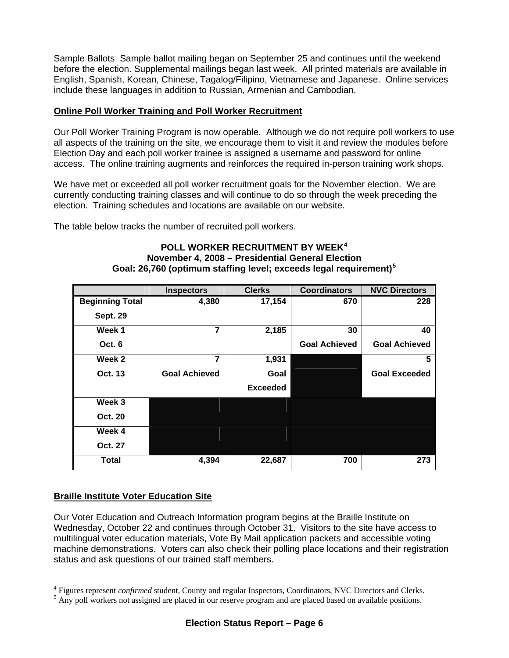Sample Ballots Sample ballot mailing began on September 25 and continues until the weekend before the election. Supplemental mailings began last week. All printed materials are available in English, Spanish, Korean, Chinese, Tagalog/Filipino, Vietnamese and Japanese. Online services include these languages in addition to Russian, Armenian and Cambodian.

## **Online Poll Worker Training and Poll Worker Recruitment**

Our Poll Worker Training Program is now operable. Although we do not require poll workers to use all aspects of the training on the site, we encourage them to visit it and review the modules before Election Day and each poll worker trainee is assigned a username and password for online access. The online training augments and reinforces the required in-person training work shops.

We have met or exceeded all poll worker recruitment goals for the November election. We are currently conducting training classes and will continue to do so through the week preceding the election. Training schedules and locations are available on our website.

The table below tracks the number of recruited poll workers.

#### **POLL WORKER RECRUITMENT BY WEEK[4](#page-5-0) November 4, 2008 – Presidential General Election Goal: 26,760 (optimum staffing level; exceeds legal requirement)[5](#page-5-1)**

|                        | <b>Inspectors</b>    | <b>Clerks</b>   | <b>Coordinators</b>  | <b>NVC Directors</b> |
|------------------------|----------------------|-----------------|----------------------|----------------------|
| <b>Beginning Total</b> | 4,380                | 17,154          | 670                  | 228                  |
| <b>Sept. 29</b>        |                      |                 |                      |                      |
| Week 1                 | 7                    | 2,185           | 30                   | 40                   |
| Oct. 6                 |                      |                 | <b>Goal Achieved</b> | <b>Goal Achieved</b> |
| Week 2                 | 7                    | 1,931           |                      | 5                    |
| Oct. 13                | <b>Goal Achieved</b> | Goal            |                      | <b>Goal Exceeded</b> |
|                        |                      | <b>Exceeded</b> |                      |                      |
| Week 3                 |                      |                 |                      |                      |
| <b>Oct. 20</b>         |                      |                 |                      |                      |
| Week 4                 |                      |                 |                      |                      |
| Oct. 27                |                      |                 |                      |                      |
| <b>Total</b>           | 4,394                | 22,687          | 700                  | 273                  |

## **Braille Institute Voter Education Site**

 $\overline{a}$ 

Our Voter Education and Outreach Information program begins at the Braille Institute on Wednesday, October 22 and continues through October 31. Visitors to the site have access to multilingual voter education materials, Vote By Mail application packets and accessible voting machine demonstrations. Voters can also check their polling place locations and their registration status and ask questions of our trained staff members.

<span id="page-5-0"></span> $^{4}$  Figures represent *confirmed* student, County and regular Inspectors, Coordinators, NVC Directors and Clerks.

<span id="page-5-1"></span> $<sup>5</sup>$  Any poll workers not assigned are placed in our reserve program and are placed based on available positions.</sup>